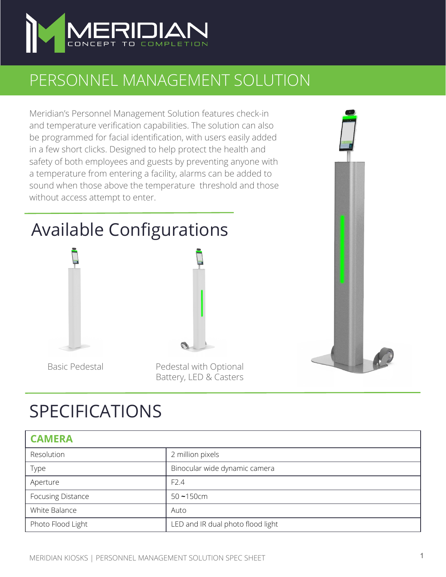

## PERSONNEL MANAGEMENT SOLUTION

Meridian's Personnel Management Solution features check-in and temperature verification capabilities. The solution can also be programmed for facial identification, with users easily added in a few short clicks. Designed to help protect the health and safety of both employees and guests by preventing anyone with a temperature from entering a facility, alarms can be added to sound when those above the temperature threshold and those without access attempt to enter.

## Available Configurations



Basic Pedestal Pedestal with Optional Battery, LED & Casters

## SPECIFICATIONS

| <b>CAMERA</b>     |                                   |
|-------------------|-----------------------------------|
| Resolution        | 2 million pixels                  |
| Type              | Binocular wide dynamic camera     |
| Aperture          | F <sub>2.4</sub>                  |
| Focusing Distance | $50 - 150$ cm                     |
| White Balance     | Auto                              |
| Photo Flood Light | LED and IR dual photo flood light |

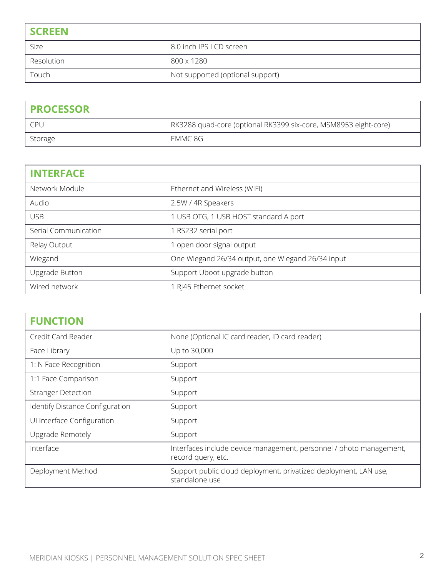| <b>SCREEN</b> |                                  |
|---------------|----------------------------------|
| Size          | 8.0 inch IPS LCD screen          |
| Resolution    | 800 x 1280                       |
| Touch         | Not supported (optional support) |

| <b>PROCESSOR</b> |                                                                 |
|------------------|-----------------------------------------------------------------|
| CPL.             | RK3288 quad-core (optional RK3399 six-core, MSM8953 eight-core) |
| Storage          | EMMC 8G                                                         |

| <b>INTERFACE</b>     |                                                   |
|----------------------|---------------------------------------------------|
| Network Module       | Ethernet and Wireless (WIFI)                      |
| Audio                | 2.5W / 4R Speakers                                |
| <b>USB</b>           | 1 USB OTG, 1 USB HOST standard A port             |
| Serial Communication | RS232 serial port                                 |
| Relay Output         | open door signal output                           |
| Wiegand              | One Wiegand 26/34 output, one Wiegand 26/34 input |
| Upgrade Button       | Support Uboot upgrade button                      |
| Wired network        | RJ45 Ethernet socket                              |

| <b>FUNCTION</b>                 |                                                                                           |
|---------------------------------|-------------------------------------------------------------------------------------------|
| Credit Card Reader              | None (Optional IC card reader, ID card reader)                                            |
| Face Library                    | Up to 30,000                                                                              |
| 1: N Face Recognition           | Support                                                                                   |
| 1:1 Face Comparison             | Support                                                                                   |
| <b>Stranger Detection</b>       | Support                                                                                   |
| Identify Distance Configuration | Support                                                                                   |
| UI Interface Configuration      | Support                                                                                   |
| Upgrade Remotely                | Support                                                                                   |
| Interface                       | Interfaces include device management, personnel / photo management,<br>record query, etc. |
| Deployment Method               | Support public cloud deployment, privatized deployment, LAN use,<br>standalone use        |